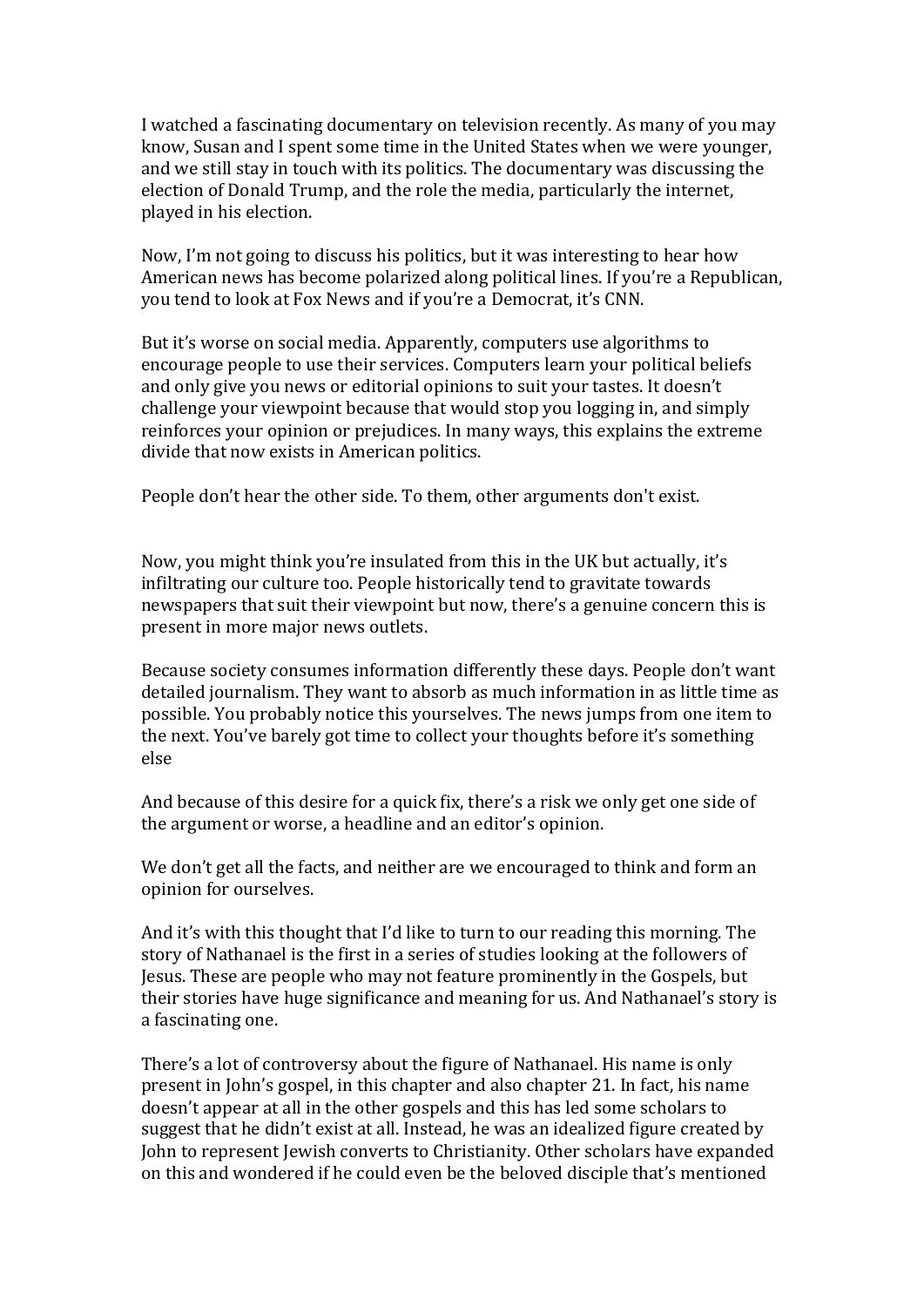I watched a fascinating documentary on television recently. As many of you may know, Susan and I spent some time in the United States when we were younger, and we still stay in touch with its politics. The documentary was discussing the election of Donald Trump, and the role the media, particularly the internet, played in his election.

Now, I'm not going to discuss his politics, but it was interesting to hear how American news has become polarized along political lines. If you're a Republican, you tend to look at Fox News and if you're a Democrat, it's CNN.

But it's worse on social media. Apparently, computers use algorithms to encourage people to use their services. Computers learn your political beliefs and only give you news or editorial opinions to suit your tastes. It doesn't challenge vour viewpoint because that would stop you logging in, and simply reinforces your opinion or prejudices. In many ways, this explains the extreme divide that now exists in American politics.

People don't hear the other side. To them, other arguments don't exist.

Now, you might think you're insulated from this in the UK but actually, it's infiltrating our culture too. People historically tend to gravitate towards newspapers that suit their viewpoint but now, there's a genuine concern this is present in more major news outlets.

Because society consumes information differently these days. People don't want detailed journalism. They want to absorb as much information in as little time as possible. You probably notice this yourselves. The news jumps from one item to the next. You've barely got time to collect your thoughts before it's something else

And because of this desire for a quick fix, there's a risk we only get one side of the argument or worse, a headline and an editor's opinion.

We don't get all the facts, and neither are we encouraged to think and form an opinion for ourselves.

And it's with this thought that I'd like to turn to our reading this morning. The story of Nathanael is the first in a series of studies looking at the followers of Jesus. These are people who may not feature prominently in the Gospels, but their stories have huge significance and meaning for us. And Nathanael's story is a fascinating one.

There's a lot of controversy about the figure of Nathanael. His name is only present in John's gospel, in this chapter and also chapter 21. In fact, his name doesn't appear at all in the other gospels and this has led some scholars to suggest that he didn't exist at all. Instead, he was an idealized figure created by John to represent Jewish converts to Christianity. Other scholars have expanded on this and wondered if he could even be the beloved disciple that's mentioned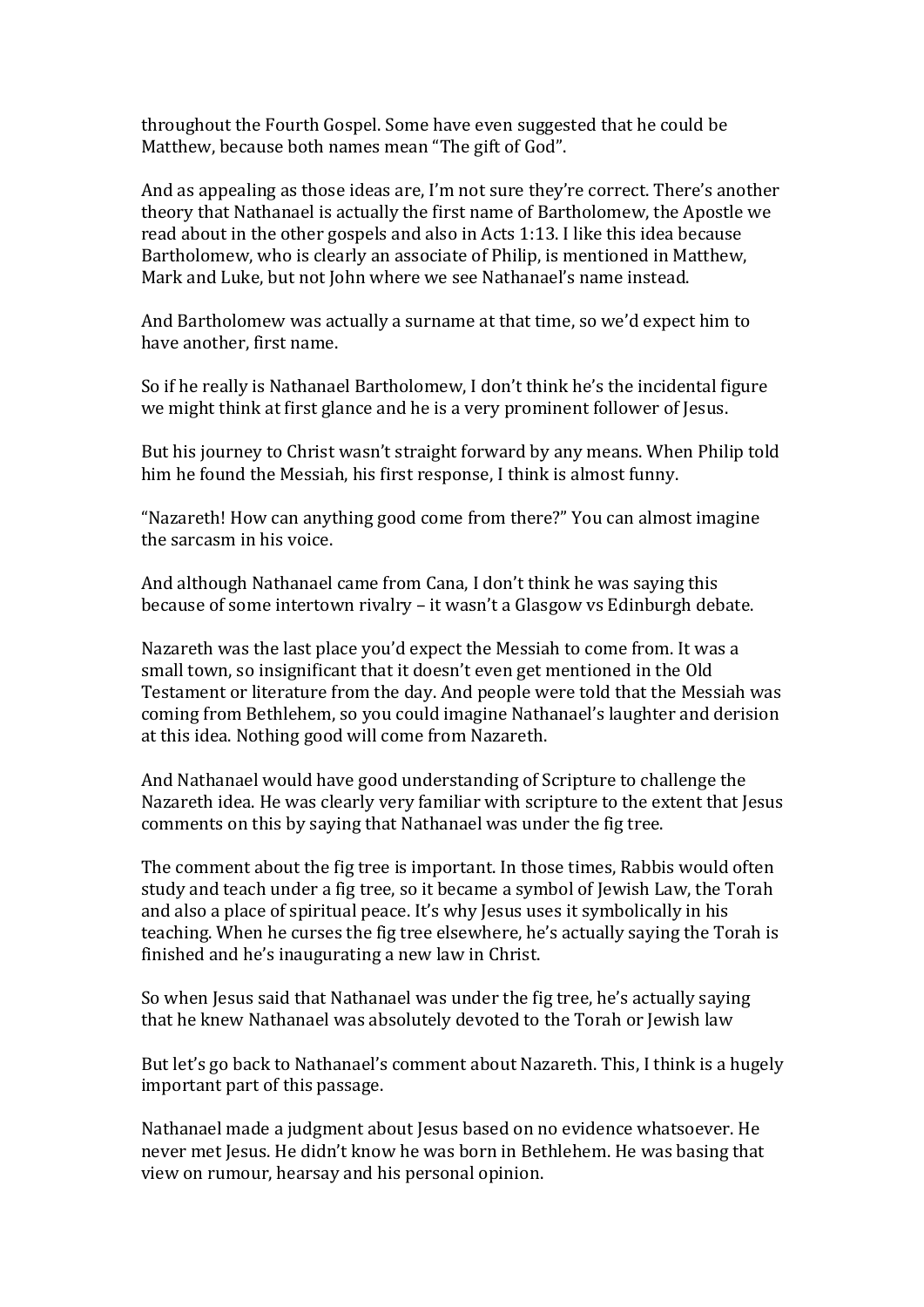throughout the Fourth Gospel. Some have even suggested that he could be Matthew, because both names mean "The gift of God".

And as appealing as those ideas are, I'm not sure they're correct. There's another theory that Nathanael is actually the first name of Bartholomew, the Apostle we read about in the other gospels and also in Acts  $1:13$ . I like this idea because Bartholomew, who is clearly an associate of Philip, is mentioned in Matthew, Mark and Luke, but not John where we see Nathanael's name instead.

And Bartholomew was actually a surname at that time, so we'd expect him to have another, first name.

So if he really is Nathanael Bartholomew, I don't think he's the incidental figure we might think at first glance and he is a very prominent follower of Jesus.

But his journey to Christ wasn't straight forward by any means. When Philip told him he found the Messiah, his first response, I think is almost funny.

"Nazareth! How can anything good come from there?" You can almost imagine the sarcasm in his voice.

And although Nathanael came from Cana, I don't think he was saving this because of some intertown rivalry – it wasn't a Glasgow vs Edinburgh debate.

Nazareth was the last place you'd expect the Messiah to come from. It was a small town, so insignificant that it doesn't even get mentioned in the Old Testament or literature from the day. And people were told that the Messiah was coming from Bethlehem, so you could imagine Nathanael's laughter and derision at this idea. Nothing good will come from Nazareth.

And Nathanael would have good understanding of Scripture to challenge the Nazareth idea. He was clearly very familiar with scripture to the extent that Jesus comments on this by saying that Nathanael was under the fig tree.

The comment about the fig tree is important. In those times, Rabbis would often study and teach under a fig tree, so it became a symbol of Jewish Law, the Torah and also a place of spiritual peace. It's why Jesus uses it symbolically in his teaching. When he curses the fig tree elsewhere, he's actually saying the Torah is finished and he's inaugurating a new law in Christ.

So when Jesus said that Nathanael was under the fig tree, he's actually saying that he knew Nathanael was absolutely devoted to the Torah or Jewish law

But let's go back to Nathanael's comment about Nazareth. This, I think is a hugely important part of this passage.

Nathanael made a judgment about Jesus based on no evidence whatsoever. He never met Jesus. He didn't know he was born in Bethlehem. He was basing that view on rumour, hearsay and his personal opinion.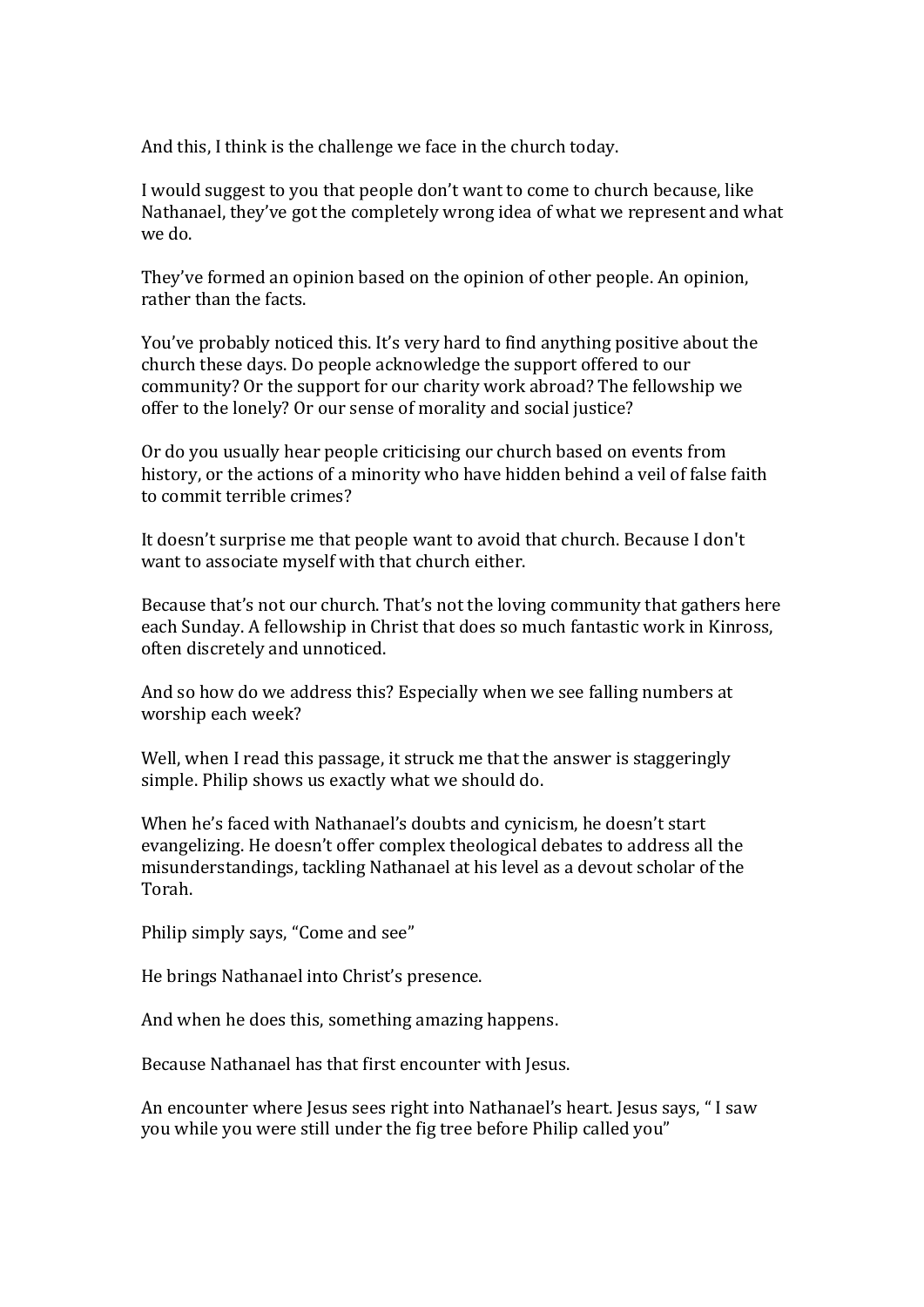And this, I think is the challenge we face in the church today.

I would suggest to you that people don't want to come to church because, like Nathanael, they've got the completely wrong idea of what we represent and what we do.

They've formed an opinion based on the opinion of other people. An opinion, rather than the facts.

You've probably noticed this. It's very hard to find anything positive about the church these days. Do people acknowledge the support offered to our community? Or the support for our charity work abroad? The fellowship we offer to the lonely? Or our sense of morality and social justice?

Or do you usually hear people criticising our church based on events from history, or the actions of a minority who have hidden behind a veil of false faith to commit terrible crimes?

It doesn't surprise me that people want to avoid that church. Because I don't want to associate myself with that church either.

Because that's not our church. That's not the loving community that gathers here each Sunday. A fellowship in Christ that does so much fantastic work in Kinross, often discretely and unnoticed.

And so how do we address this? Especially when we see falling numbers at worship each week?

Well, when I read this passage, it struck me that the answer is staggeringly simple. Philip shows us exactly what we should do.

When he's faced with Nathanael's doubts and cynicism, he doesn't start evangelizing. He doesn't offer complex theological debates to address all the misunderstandings, tackling Nathanael at his level as a devout scholar of the Torah.

Philip simply says, "Come and see"

He brings Nathanael into Christ's presence.

And when he does this, something amazing happens.

Because Nathanael has that first encounter with Jesus.

An encounter where Jesus sees right into Nathanael's heart. Jesus says, "I saw you while you were still under the fig tree before Philip called you"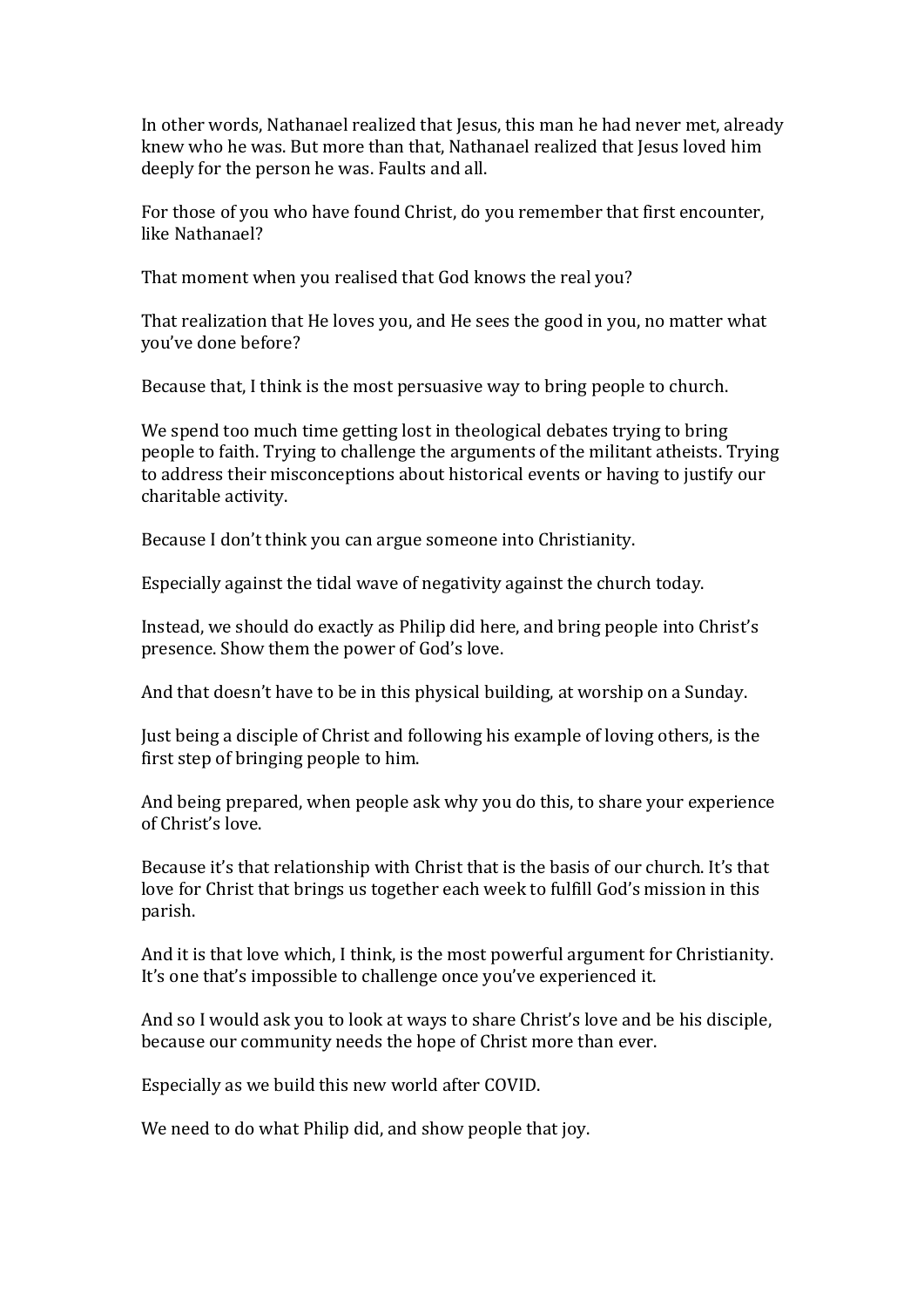In other words, Nathanael realized that Jesus, this man he had never met, already knew who he was. But more than that, Nathanael realized that Jesus loved him deeply for the person he was. Faults and all.

For those of you who have found Christ, do you remember that first encounter, like Nathanael?

That moment when you realised that God knows the real you?

That realization that He loves you, and He sees the good in you, no matter what you've done before?

Because that, I think is the most persuasive way to bring people to church.

We spend too much time getting lost in theological debates trying to bring people to faith. Trying to challenge the arguments of the militant atheists. Trying to address their misconceptions about historical events or having to justify our charitable activity.

Because I don't think you can argue someone into Christianity.

Especially against the tidal wave of negativity against the church today.

Instead, we should do exactly as Philip did here, and bring people into Christ's presence. Show them the power of God's love.

And that doesn't have to be in this physical building, at worship on a Sunday.

Just being a disciple of Christ and following his example of loving others, is the first step of bringing people to him.

And being prepared, when people ask why you do this, to share your experience of Christ's love.

Because it's that relationship with Christ that is the basis of our church. It's that love for Christ that brings us together each week to fulfill God's mission in this parish. 

And it is that love which, I think, is the most powerful argument for Christianity. It's one that's impossible to challenge once you've experienced it.

And so I would ask you to look at ways to share Christ's love and be his disciple, because our community needs the hope of Christ more than ever.

Especially as we build this new world after COVID.

We need to do what Philip did, and show people that joy.